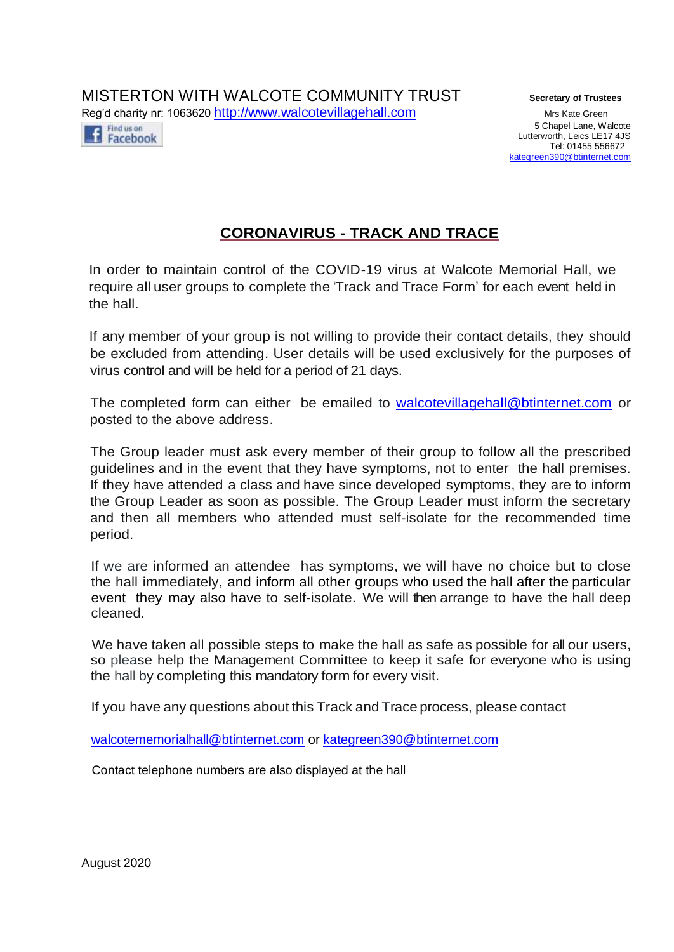MISTERTON WITH WALCOTE COMMUNITY TRUST **Secretary of Trustees** Reg'd charity nr: 1063620 [http://www.walcotevillagehall.com](http://www.walcotevillagehall.com/) Mrs Kate Green

Find us on Facebook

5 Chapel Lane, Walcote Lutterworth, Leics LE17 4JS Tel: 01455 556672 [kategreen390@btinternet.com](mailto:kategreen390@btinternet.com)

# **CORONAVIRUS - TRACK AND TRACE**

In order to maintain control of the COVID-19 virus at Walcote Memorial Hall, we require all user groups to complete the 'Track and Trace Form' for each event held in the hall.

If any member of your group is not willing to provide their contact details, they should be excluded from attending. User details will be used exclusively for the purposes of virus control and will be held for a period of 21 days.

The completed form can either be emailed to [walcotevillagehall@btinternet.com](mailto:walcotevillagehall@btinternet.com) or posted to the above address.

The Group leader must ask every member of their group to follow all the prescribed guidelines and in the event that they have symptoms, not to enter the hall premises. If they have attended a class and have since developed symptoms, they are to inform the Group Leader as soon as possible. The Group Leader must inform the secretary and then all members who attended must self-isolate for the recommended time period.

If we are informed an attendee has symptoms, we will have no choice but to close the hall immediately, and inform all other groups who used the hall after the particular event they may also have to self-isolate. We will then arrange to have the hall deep cleaned.

We have taken all possible steps to make the hall as safe as possible for all our users, so please help the Management Committee to keep it safe for everyone who is using the hall by completing this mandatory form for every visit.

If you have any questions about this Track and Trace process, please contact

[walcotememorialhall@btinternet.com](mailto:walcotememorialhall@btinternet.com) or [kategreen390@btinternet.com](mailto:kategreen390@btinternet.com)

Contact telephone numbers are also displayed at the hall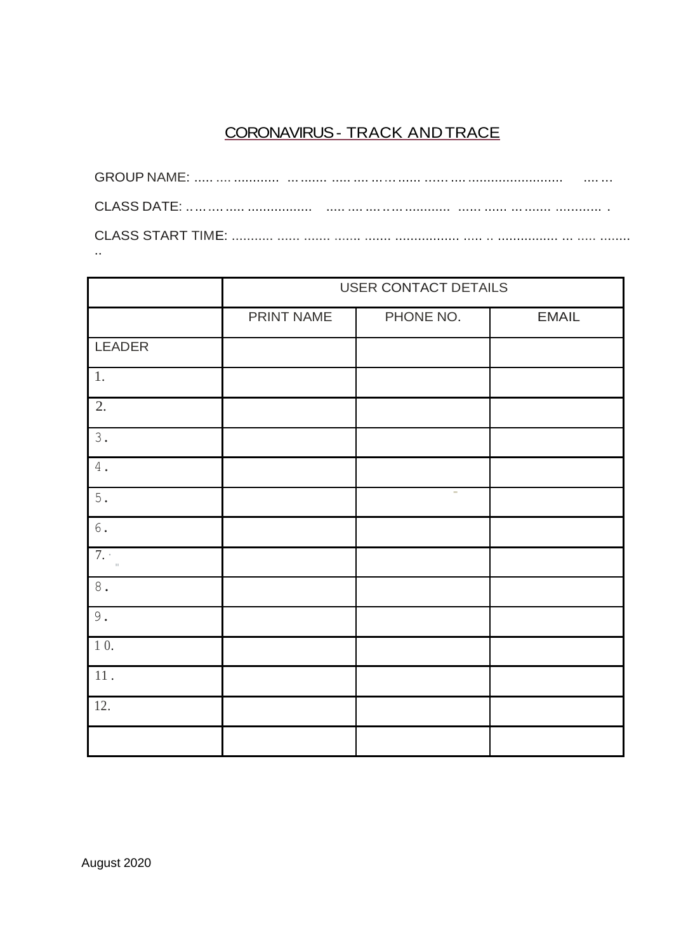# CORONAVIRUS - TRACK AND TRACE

| . |
|---|
|   |
|   |
| . |

|                     | USER CONTACT DETAILS |           |              |  |
|---------------------|----------------------|-----------|--------------|--|
|                     | PRINT NAME           | PHONE NO. | <b>EMAIL</b> |  |
| LEADER              |                      |           |              |  |
| $1.$                |                      |           |              |  |
| 2.                  |                      |           |              |  |
| $3.$                |                      |           |              |  |
| $4$ .               |                      |           |              |  |
| $5.$                |                      | $\sim$    |              |  |
|                     |                      |           |              |  |
| 7.<br>$\bar{\rm H}$ |                      |           |              |  |
| $\,8$ .             |                      |           |              |  |
| $\mathbf 9$ .       |                      |           |              |  |
| 10.                 |                      |           |              |  |
| $11$ .              |                      |           |              |  |
| 12.                 |                      |           |              |  |
|                     |                      |           |              |  |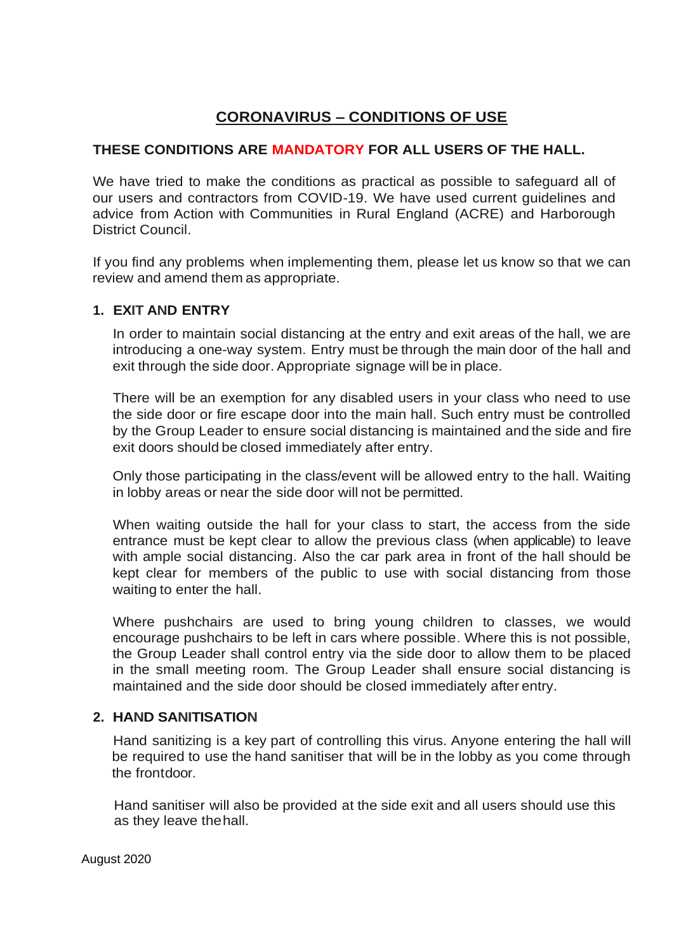# **CORONAVIRUS – CONDITIONS OF USE**

# **THESE CONDITIONS ARE MANDATORY FOR ALL USERS OF THE HALL.**

We have tried to make the conditions as practical as possible to safeguard all of our users and contractors from COVID-19. We have used current guidelines and advice from Action with Communities in Rural England (ACRE) and Harborough District Council.

If you find any problems when implementing them, please let us know so that we can review and amend them as appropriate.

## **1. EXIT AND ENTRY**

In order to maintain social distancing at the entry and exit areas of the hall, we are introducing a one-way system. Entry must be through the main door of the hall and exit through the side door. Appropriate signage will be in place.

There will be an exemption for any disabled users in your class who need to use the side door or fire escape door into the main hall. Such entry must be controlled by the Group Leader to ensure social distancing is maintained and the side and fire exit doors should be closed immediately after entry.

Only those participating in the class/event will be allowed entry to the hall. Waiting in lobby areas or near the side door will not be permitted.

When waiting outside the hall for your class to start, the access from the side entrance must be kept clear to allow the previous class (when applicable) to leave with ample social distancing. Also the car park area in front of the hall should be kept clear for members of the public to use with social distancing from those waiting to enter the hall.

Where pushchairs are used to bring young children to classes, we would encourage pushchairs to be left in cars where possible. Where this is not possible, the Group Leader shall control entry via the side door to allow them to be placed in the small meeting room. The Group Leader shall ensure social distancing is maintained and the side door should be closed immediately after entry.

## **2. HAND SANITISATION**

Hand sanitizing is a key part of controlling this virus. Anyone entering the hall will be required to use the hand sanitiser that will be in the lobby as you come through the frontdoor.

Hand sanitiser will also be provided at the side exit and all users should use this as they leave thehall.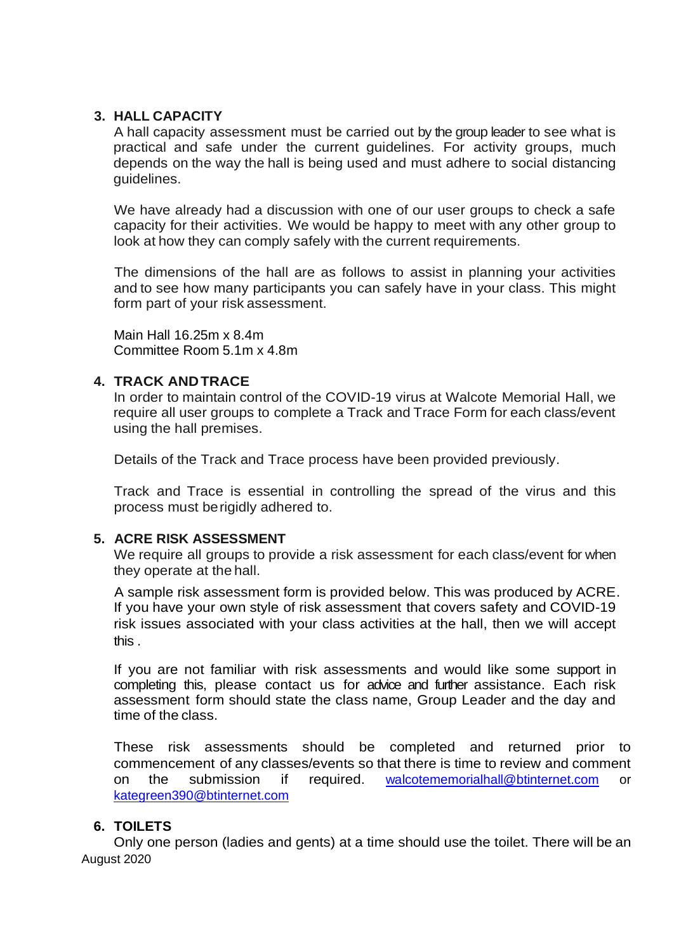### **3. HALL CAPACITY**

A hall capacity assessment must be carried out by the group leader to see what is practical and safe under the current guidelines. For activity groups, much depends on the way the hall is being used and must adhere to social distancing guidelines.

We have already had a discussion with one of our user groups to check a safe capacity for their activities. We would be happy to meet with any other group to look at how they can comply safely with the current requirements.

The dimensions of the hall are as follows to assist in planning your activities and to see how many participants you can safely have in your class. This might form part of your risk assessment.

Main Hall 16.25m x 8.4m Committee Room 5.1m x 4.8m

#### **4. TRACK ANDTRACE**

In order to maintain control of the COVID-19 virus at Walcote Memorial Hall, we require all user groups to complete a Track and Trace Form for each class/event using the hall premises.

Details of the Track and Trace process have been provided previously.

Track and Trace is essential in controlling the spread of the virus and this process must berigidly adhered to.

#### **5. ACRE RISK ASSESSMENT**

We require all groups to provide a risk assessment for each class/event for when they operate at the hall.

A sample risk assessment form is provided below. This was produced by ACRE. If you have your own style of risk assessment that covers safety and COVID-19 risk issues associated with your class activities at the hall, then we will accept this .

If you are not familiar with risk assessments and would like some support in completing this, please contact us for advice and further assistance. Each risk assessment form should state the class name, Group Leader and the day and time of the class.

These risk assessments should be completed and returned prior to commencement of any classes/events so that there is time to review and comment on the submission if required. [walcotememorialhall@btinternet.com](mailto:walcotememorialhall@btinternet.com) or [kategreen390@btinternet.com](mailto:kategreen390@btinternet.com)

#### **6. TOILETS**

August 2020 Only one person (ladies and gents) at a time should use the toilet. There will be an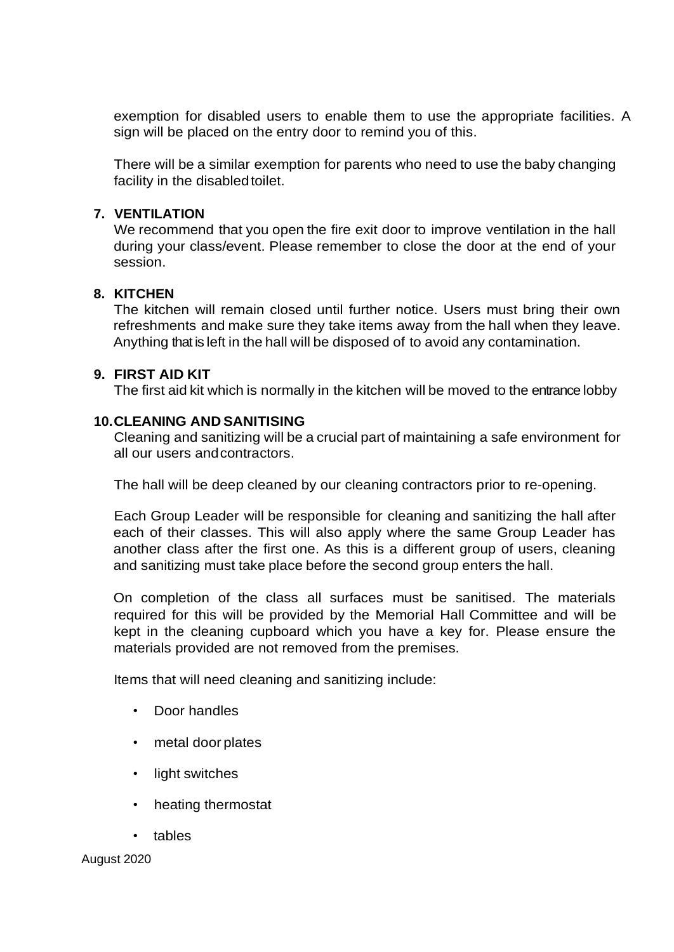exemption for disabled users to enable them to use the appropriate facilities. A sign will be placed on the entry door to remind you of this.

There will be a similar exemption for parents who need to use the baby changing facility in the disabled toilet.

#### **7. VENTILATION**

We recommend that you open the fire exit door to improve ventilation in the hall during your class/event. Please remember to close the door at the end of your session.

#### **8. KITCHEN**

The kitchen will remain closed until further notice. Users must bring their own refreshments and make sure they take items away from the hall when they leave. Anything that is left in the hall will be disposed of to avoid any contamination.

#### **9. FIRST AID KIT**

The first aid kit which is normally in the kitchen will be moved to the entrance lobby

#### **10.CLEANING AND SANITISING**

Cleaning and sanitizing will be a crucial part of maintaining a safe environment for all our users andcontractors.

The hall will be deep cleaned by our cleaning contractors prior to re-opening.

Each Group Leader will be responsible for cleaning and sanitizing the hall after each of their classes. This will also apply where the same Group Leader has another class after the first one. As this is a different group of users, cleaning and sanitizing must take place before the second group enters the hall.

On completion of the class all surfaces must be sanitised. The materials required for this will be provided by the Memorial Hall Committee and will be kept in the cleaning cupboard which you have a key for. Please ensure the materials provided are not removed from the premises.

Items that will need cleaning and sanitizing include:

- Door handles
- metal door plates
- light switches
- heating thermostat
- tables

August 2020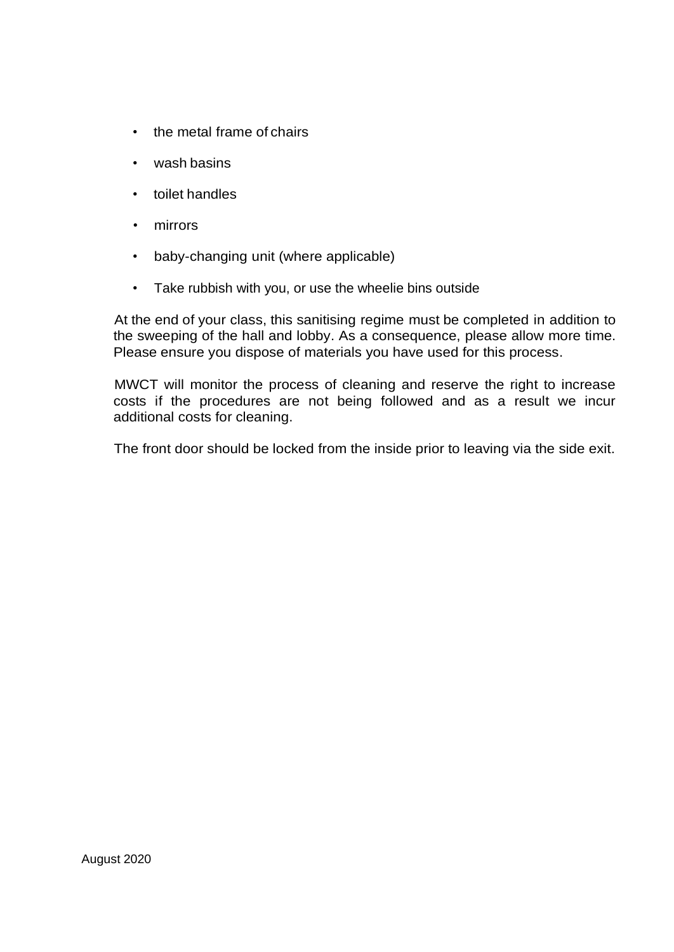- the metal frame of chairs
- wash basins
- toilet handles
- mirrors
- baby-changing unit (where applicable)
- Take rubbish with you, or use the wheelie bins outside

At the end of your class, this sanitising regime must be completed in addition to the sweeping of the hall and lobby. As a consequence, please allow more time. Please ensure you dispose of materials you have used for this process.

MWCT will monitor the process of cleaning and reserve the right to increase costs if the procedures are not being followed and as a result we incur additional costs for cleaning.

The front door should be locked from the inside prior to leaving via the side exit.